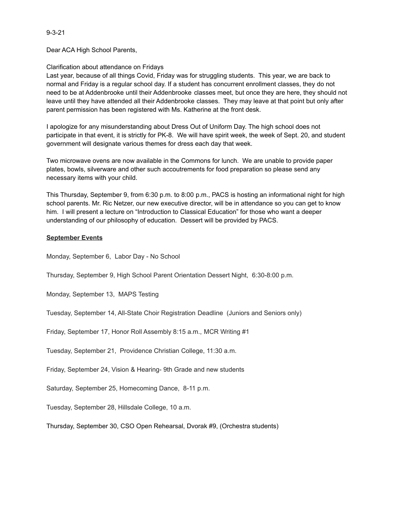9-3-21

Dear ACA High School Parents,

## Clarification about attendance on Fridays

Last year, because of all things Covid, Friday was for struggling students. This year, we are back to normal and Friday is a regular school day. If a student has concurrent enrollment classes, they do not need to be at Addenbrooke until their Addenbrooke classes meet, but once they are here, they should not leave until they have attended all their Addenbrooke classes. They may leave at that point but only after parent permission has been registered with Ms. Katherine at the front desk.

I apologize for any misunderstanding about Dress Out of Uniform Day. The high school does not participate in that event, it is strictly for PK-8. We will have spirit week, the week of Sept. 20, and student government will designate various themes for dress each day that week.

Two microwave ovens are now available in the Commons for lunch. We are unable to provide paper plates, bowls, silverware and other such accoutrements for food preparation so please send any necessary items with your child.

This Thursday, September 9, from 6:30 p.m. to 8:00 p.m., PACS is hosting an informational night for high school parents. Mr. Ric Netzer, our new executive director, will be in attendance so you can get to know him. I will present a lecture on "Introduction to Classical Education" for those who want a deeper understanding of our philosophy of education. Dessert will be provided by PACS.

## **September Events**

Monday, September 6, Labor Day - No School

Thursday, September 9, High School Parent Orientation Dessert Night, 6:30-8:00 p.m.

Monday, September 13, MAPS Testing

Tuesday, September 14, All-State Choir Registration Deadline (Juniors and Seniors only)

Friday, September 17, Honor Roll Assembly 8:15 a.m., MCR Writing #1

Tuesday, September 21, Providence Christian College, 11:30 a.m.

Friday, September 24, Vision & Hearing- 9th Grade and new students

Saturday, September 25, Homecoming Dance, 8-11 p.m.

Tuesday, September 28, Hillsdale College, 10 a.m.

Thursday, September 30, CSO Open Rehearsal, Dvorak #9, (Orchestra students)